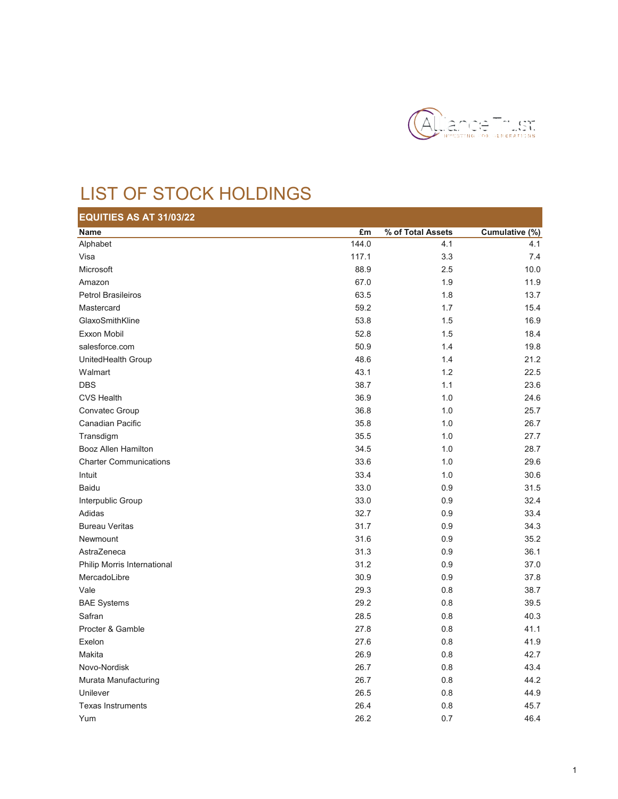

## LIST OF STOCK HOLDINGS

| EQUITIES AS AT 31/03/22       |       |                   |                |  |  |  |
|-------------------------------|-------|-------------------|----------------|--|--|--|
| <b>Name</b>                   | £m    | % of Total Assets | Cumulative (%) |  |  |  |
| Alphabet                      | 144.0 | 4.1               | 4.1            |  |  |  |
| Visa                          | 117.1 | 3.3               | 7.4            |  |  |  |
| Microsoft                     | 88.9  | 2.5               | 10.0           |  |  |  |
| Amazon                        | 67.0  | 1.9               | 11.9           |  |  |  |
| <b>Petrol Brasileiros</b>     | 63.5  | 1.8               | 13.7           |  |  |  |
| Mastercard                    | 59.2  | 1.7               | 15.4           |  |  |  |
| GlaxoSmithKline               | 53.8  | 1.5               | 16.9           |  |  |  |
| Exxon Mobil                   | 52.8  | 1.5               | 18.4           |  |  |  |
| salesforce.com                | 50.9  | 1.4               | 19.8           |  |  |  |
| UnitedHealth Group            | 48.6  | 1.4               | 21.2           |  |  |  |
| Walmart                       | 43.1  | 1.2               | 22.5           |  |  |  |
| <b>DBS</b>                    | 38.7  | 1.1               | 23.6           |  |  |  |
| <b>CVS Health</b>             | 36.9  | 1.0               | 24.6           |  |  |  |
| Convatec Group                | 36.8  | 1.0               | 25.7           |  |  |  |
| Canadian Pacific              | 35.8  | 1.0               | 26.7           |  |  |  |
| Transdigm                     | 35.5  | 1.0               | 27.7           |  |  |  |
| Booz Allen Hamilton           | 34.5  | 1.0               | 28.7           |  |  |  |
| <b>Charter Communications</b> | 33.6  | 1.0               | 29.6           |  |  |  |
| Intuit                        | 33.4  | 1.0               | 30.6           |  |  |  |
| <b>Baidu</b>                  | 33.0  | 0.9               | 31.5           |  |  |  |
| Interpublic Group             | 33.0  | 0.9               | 32.4           |  |  |  |
| Adidas                        | 32.7  | 0.9               | 33.4           |  |  |  |
| <b>Bureau Veritas</b>         | 31.7  | 0.9               | 34.3           |  |  |  |
| Newmount                      | 31.6  | 0.9               | 35.2           |  |  |  |
| AstraZeneca                   | 31.3  | 0.9               | 36.1           |  |  |  |
| Philip Morris International   | 31.2  | 0.9               | 37.0           |  |  |  |
| MercadoLibre                  | 30.9  | 0.9               | 37.8           |  |  |  |
| Vale                          | 29.3  | 0.8               | 38.7           |  |  |  |
| <b>BAE Systems</b>            | 29.2  | 0.8               | 39.5           |  |  |  |
| Safran                        | 28.5  | 0.8               | 40.3           |  |  |  |
| Procter & Gamble              | 27.8  | 0.8               | 41.1           |  |  |  |
| Exelon                        | 27.6  | 0.8               | 41.9           |  |  |  |
| Makita                        | 26.9  | 0.8               | 42.7           |  |  |  |
| Novo-Nordisk                  | 26.7  | 0.8               | 43.4           |  |  |  |
| Murata Manufacturing          | 26.7  | 0.8               | 44.2           |  |  |  |
| Unilever                      | 26.5  | 0.8               | 44.9           |  |  |  |
| <b>Texas Instruments</b>      | 26.4  | 0.8               | 45.7           |  |  |  |
| Yum                           | 26.2  | 0.7               | 46.4           |  |  |  |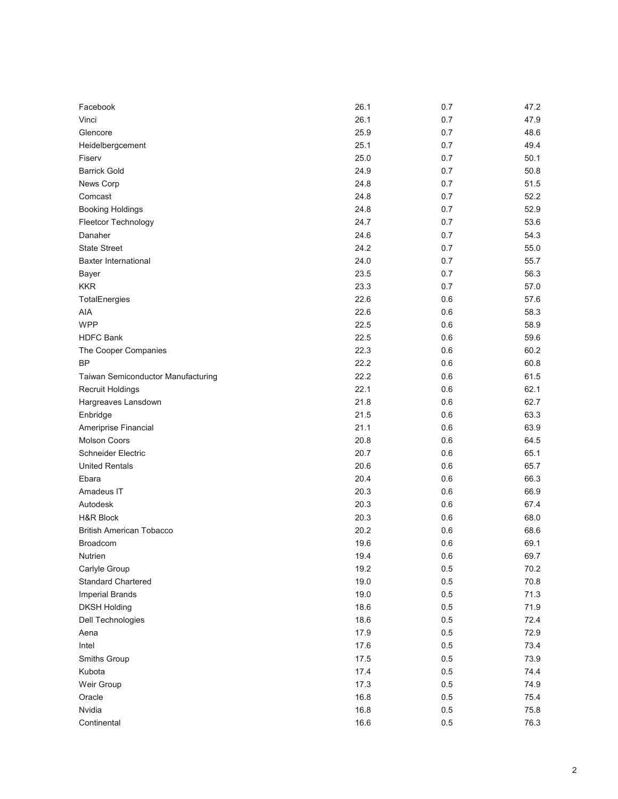| Facebook                           | 26.1 | 0.7     | 47.2 |
|------------------------------------|------|---------|------|
| Vinci                              | 26.1 | 0.7     | 47.9 |
| Glencore                           | 25.9 | 0.7     | 48.6 |
| Heidelbergcement                   | 25.1 | 0.7     | 49.4 |
| Fiserv                             | 25.0 | 0.7     | 50.1 |
| <b>Barrick Gold</b>                | 24.9 | 0.7     | 50.8 |
| News Corp                          | 24.8 | 0.7     | 51.5 |
| Comcast                            | 24.8 | 0.7     | 52.2 |
| <b>Booking Holdings</b>            | 24.8 | 0.7     | 52.9 |
| Fleetcor Technology                | 24.7 | 0.7     | 53.6 |
| Danaher                            | 24.6 | 0.7     | 54.3 |
| <b>State Street</b>                | 24.2 | 0.7     | 55.0 |
| <b>Baxter International</b>        | 24.0 | 0.7     | 55.7 |
| Bayer                              | 23.5 | 0.7     | 56.3 |
| <b>KKR</b>                         | 23.3 | 0.7     | 57.0 |
| TotalEnergies                      | 22.6 | 0.6     | 57.6 |
| AIA                                | 22.6 | 0.6     | 58.3 |
| <b>WPP</b>                         | 22.5 | 0.6     | 58.9 |
| <b>HDFC Bank</b>                   | 22.5 | 0.6     | 59.6 |
| The Cooper Companies               | 22.3 | 0.6     | 60.2 |
| <b>BP</b>                          | 22.2 | 0.6     | 60.8 |
| Taiwan Semiconductor Manufacturing | 22.2 | 0.6     | 61.5 |
| Recruit Holdings                   | 22.1 | 0.6     | 62.1 |
| Hargreaves Lansdown                | 21.8 | 0.6     | 62.7 |
| Enbridge                           | 21.5 | 0.6     | 63.3 |
| Ameriprise Financial               | 21.1 | 0.6     | 63.9 |
| <b>Molson Coors</b>                | 20.8 | 0.6     | 64.5 |
| <b>Schneider Electric</b>          | 20.7 | 0.6     | 65.1 |
| <b>United Rentals</b>              | 20.6 | 0.6     | 65.7 |
| Ebara                              | 20.4 | 0.6     | 66.3 |
| Amadeus IT                         | 20.3 | 0.6     | 66.9 |
| Autodesk                           | 20.3 | 0.6     | 67.4 |
| <b>H&amp;R Block</b>               | 20.3 | 0.6     | 68.0 |
| <b>British American Tobacco</b>    | 20.2 | 0.6     | 68.6 |
| <b>Broadcom</b>                    | 19.6 | 0.6     | 69.1 |
| Nutrien                            | 19.4 | 0.6     | 69.7 |
| Carlyle Group                      | 19.2 | $0.5\,$ | 70.2 |
| <b>Standard Chartered</b>          | 19.0 | 0.5     | 70.8 |
| <b>Imperial Brands</b>             | 19.0 | $0.5\,$ | 71.3 |
| <b>DKSH Holding</b>                | 18.6 | $0.5\,$ | 71.9 |
| Dell Technologies                  | 18.6 | $0.5\,$ | 72.4 |
| Aena                               | 17.9 | 0.5     | 72.9 |
| Intel                              | 17.6 | 0.5     | 73.4 |
| Smiths Group                       | 17.5 | $0.5\,$ | 73.9 |
| Kubota                             | 17.4 | $0.5\,$ | 74.4 |
| Weir Group                         | 17.3 | $0.5\,$ | 74.9 |
| Oracle                             | 16.8 | $0.5\,$ | 75.4 |
| Nvidia                             | 16.8 | $0.5\,$ | 75.8 |
| Continental                        | 16.6 | $0.5\,$ | 76.3 |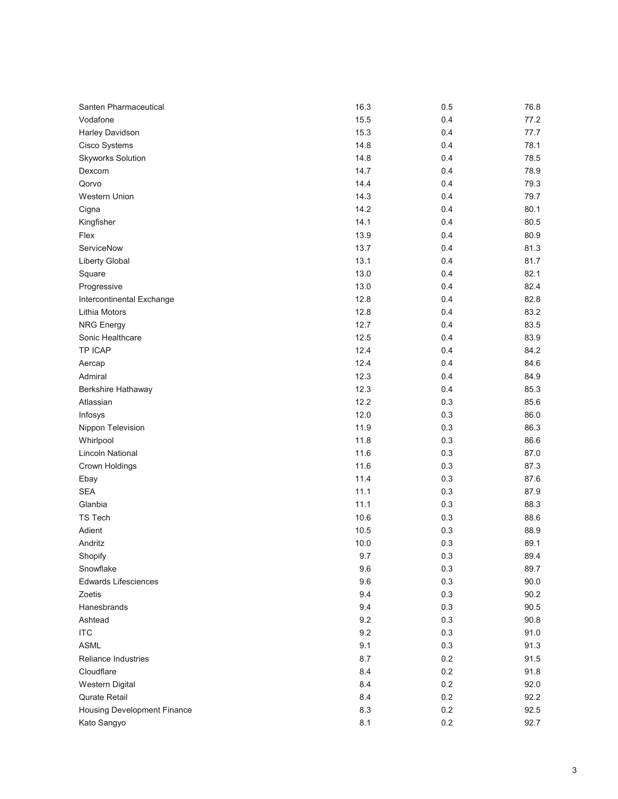| Santen Pharmaceutical              | 16.3 | 0.5 | 76.8 |
|------------------------------------|------|-----|------|
| Vodafone                           | 15.5 | 0.4 | 77.2 |
| Harley Davidson                    | 15.3 | 0.4 | 77.7 |
| Cisco Systems                      | 14.8 | 0.4 | 78.1 |
| <b>Skyworks Solution</b>           | 14.8 | 0.4 | 78.5 |
| Dexcom                             | 14.7 | 0.4 | 78.9 |
| Qorvo                              | 14.4 | 0.4 | 79.3 |
| Western Union                      | 14.3 | 0.4 | 79.7 |
| Cigna                              | 14.2 | 0.4 | 80.1 |
| Kingfisher                         | 14.1 | 0.4 | 80.5 |
| Flex                               | 13.9 | 0.4 | 80.9 |
| ServiceNow                         | 13.7 | 0.4 | 81.3 |
| <b>Liberty Global</b>              | 13.1 | 0.4 | 81.7 |
| Square                             | 13.0 | 0.4 | 82.1 |
| Progressive                        | 13.0 | 0.4 | 82.4 |
| Intercontinental Exchange          | 12.8 | 0.4 | 82.8 |
| Lithia Motors                      | 12.8 | 0.4 | 83.2 |
| <b>NRG Energy</b>                  | 12.7 | 0.4 | 83.5 |
| Sonic Healthcare                   | 12.5 | 0.4 | 83.9 |
| TP ICAP                            | 12.4 | 0.4 | 84.2 |
| Aercap                             | 12.4 | 0.4 | 84.6 |
| Admiral                            | 12.3 | 0.4 | 84.9 |
| Berkshire Hathaway                 | 12.3 | 0.4 | 85.3 |
| Atlassian                          | 12.2 | 0.3 | 85.6 |
| Infosys                            | 12.0 | 0.3 | 86.0 |
| Nippon Television                  | 11.9 | 0.3 | 86.3 |
| Whirlpool                          | 11.8 | 0.3 | 86.6 |
| Lincoln National                   | 11.6 | 0.3 | 87.0 |
| Crown Holdings                     | 11.6 | 0.3 | 87.3 |
| Ebay                               | 11.4 | 0.3 | 87.6 |
| <b>SEA</b>                         | 11.1 | 0.3 | 87.9 |
| Glanbia                            | 11.1 | 0.3 | 88.3 |
| <b>TS Tech</b>                     | 10.6 | 0.3 | 88.6 |
| Adient                             | 10.5 | 0.3 | 88.9 |
| Andritz                            | 10.0 | 0.3 | 89.1 |
| Shopify                            | 9.7  | 0.3 | 89.4 |
| Snowflake                          | 9.6  | 0.3 | 89.7 |
| <b>Edwards Lifesciences</b>        | 9.6  | 0.3 | 90.0 |
| Zoetis                             | 9.4  | 0.3 | 90.2 |
| Hanesbrands                        | 9.4  | 0.3 | 90.5 |
| Ashtead                            | 9.2  | 0.3 | 90.8 |
| <b>ITC</b>                         | 9.2  | 0.3 | 91.0 |
| <b>ASML</b>                        | 9.1  | 0.3 | 91.3 |
| <b>Reliance Industries</b>         | 8.7  | 0.2 | 91.5 |
| Cloudflare                         | 8.4  | 0.2 | 91.8 |
| <b>Western Digital</b>             | 8.4  | 0.2 | 92.0 |
| <b>Qurate Retail</b>               | 8.4  | 0.2 | 92.2 |
| <b>Housing Development Finance</b> | 8.3  | 0.2 | 92.5 |
| Kato Sangyo                        | 8.1  | 0.2 | 92.7 |